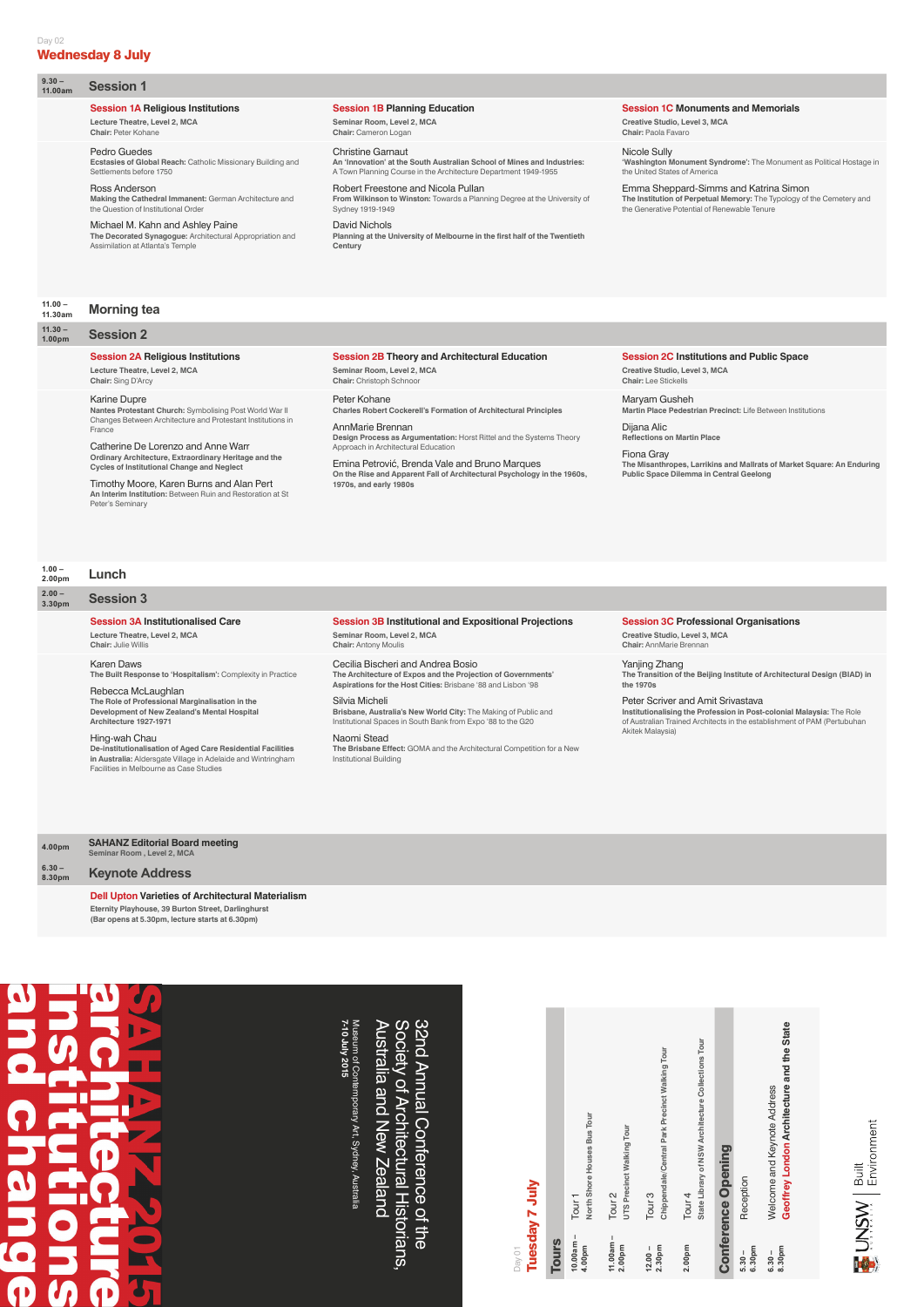| Day 01                            |                                                                         |
|-----------------------------------|-------------------------------------------------------------------------|
|                                   | Tuesday 7 July                                                          |
| <b>Tours</b>                      |                                                                         |
| $10.00am -$<br>4.00pm             | North Shore Houses Bus Tour<br>Tour <sub>1</sub>                        |
| $11.00am -$<br>2.00 <sub>pm</sub> | UTS Precinct Walking Tour<br>Tour <sub>2</sub>                          |
| 2.30pm<br>$12.00 -$               | Chippendale/Central Park Precinct Walking Tour<br>Tour <sub>3</sub>     |
| 2.00pm                            | State Library of NSW Architecture Collections Tour<br>Tour <sub>4</sub> |
|                                   | <b>Conference Opening</b>                                               |
| 6.30pm<br>$5.30 -$                | Reception                                                               |
| $6.30 -$                          | Welcome and Keynote Address                                             |



# Day 02 Wednesday 8 July

**8.30pm**

**Geoffrey London Architecture and the State**

Geoffrey London Architecture and the State

# **9.30 –**

#### **Session 1A Religious Institutions Lecture Theatre, Level 2, MCA**

**Chair:** Peter Kohane

#### **Session 1B Planning Education**

**Seminar Room, Level 2, MCA Chair:** Cameron Logan

#### **Session 1C Monuments and Memorials**

**Creative Studio, Level 3, MCA Chair:** Paola Favaro

#### Pedro Guedes

**Session 1** 

**Ecstasies of Global Reach:** Catholic Missionary Building and Settlements before 1750

#### **11.30 – Session 2**

#### Ross Anderson **Making the Cathedral Immanent:** German Architecture and the Question of Institutional Order

Michael M. Kahn and Ashley Paine **The Decorated Synagogue:** Architectural Appropriation and Assimilation at Atlanta's Temple

Christine Garnaut **An 'Innovation' at the South Australian School of Mines and Industries:** A Town Planning Course in the Architecture Department 1949-1955 Robert Freestone and Nicola Pullan

**From Wilkinson to Winston:** Towards a Planning Degree at the University of Sydney 1919-1949 David Nichols

**Planning at the University of Melbourne in the first half of the Twentieth Century**

Nicole Sully **'Washington Monument Syndrome':** The Monument as Political Hostage in the United States of America

Emma Sheppard-Simms and Katrina Simon **The Institution of Perpetual Memory:** The Typology of the Cemetery and the Generative Potential of Renewable Tenure

#### **11.00 – 11.30am Morning tea**

# **Session 2A Religious Institutions**

**Lecture Theatre, Level 2, MCA Chair:** Sing D'Arcy

#### **Session 2B Theory and Architectural Education Seminar Room, Level 2, MCA**

**Chair:** Christoph Schnoor

**Session 2C Institutions and Public Space Creative Studio, Level 3, MCA**

**Chair:** Lee Stickells

#### Karine Dupre

**Nantes Protestant Church:** Symbolising Post World War II Changes Between Architecture and Protestant Institutions in France

Catherine De Lorenzo and Anne Warr **Ordinary Architecture, Extraordinary Heritage and the Cycles of Institutional Change and Neglect**

Timothy Moore, Karen Burns and Alan Pert **An Interim Institution:** Between Ruin and Restoration at St Peter's Seminary

> Museum of Contemporary Art, Sydney, Australia<br>7-10 July 2015 **7-10 July 2015** Museum of Contemporary Art, Sydney, Australia

# Society of Architectural Historians, 32nd Annual Conference of the Australia and New Zealand Australia and New Zealand Society of Architectural Historians, 32nd Annual Conference of the

Peter Kohane **Charles Robert Cockerell's Formation of Architectural Principles**

AnnMarie Brennan **Design Process as Argumentation:** Horst Rittel and the Systems Theory Approach in Architectural Education

Emina Petrović, Brenda Vale and Bruno Marques **On the Rise and Apparent Fall of Architectural Psychology in the 1960s, 1970s, and early 1980s**

Maryam Gusheh **Martin Place Pedestrian Precinct:** Life Between Institutions

Dijana Alic **Reflections on Martin Place**

Fiona Gray **The Misanthropes, Larrikins and Mallrats of Market Square: An Enduring Public Space Dilemma in Central Geelong**

#### **1.00 – 2.00pm Lunch**

**2.00 –**

# **3.30pm Session 3**

#### **Session 3A Institutionalised Care**

**Lecture Theatre, Level 2, MCA Chair:** Julie Willis

#### **Session 3B Institutional and Expositional Projections**

**Seminar Room, Level 2, MCA Chair:** Antony Moulis

#### **Session 3C Professional Organisations**

**Creative Studio, Level 3, MCA Chair:** AnnMarie Brennan

#### Karen Daws

**The Built Response to 'Hospitalism':** Complexity in Practice

Rebecca McLaughlan **The Role of Professional Marginalisation in the Development of New Zealand's Mental Hospital Architecture 1927-1971**

#### Hing-wah Chau

**De-institutionalisation of Aged Care Residential Facilities in Australia:** Aldersgate Village in Adelaide and Wintringham Facilities in Melbourne as Case Studies

#### Cecilia Bischeri and Andrea Bosio

**The Architecture of Expos and the Projection of Governments' Aspirations for the Host Cities:** Brisbane '88 and Lisbon '98

#### Silvia Micheli

**Brisbane, Australia's New World City:** The Making of Public and Institutional Spaces in South Bank from Expo '88 to the G20

#### Naomi Stead

**The Brisbane Effect:** GOMA and the Architectural Competition for a New Institutional Building

Yanjing Zhang **The Transition of the Beijing Institute of Architectural Design (BIAD) in the 1970s**

#### Peter Scriver and Amit Srivastava

**Institutionalising the Profession in Post-colonial Malaysia:** The Role of Australian Trained Architects in the establishment of PAM (Pertubuhan Akitek Malaysia)

**4.00pm SAHANZ Editorial Board meeting Seminar Room , Level 2, MCA**

**6.30 – 8.30pm Keynote Address**

#### **Dell Upton Varieties of Architectural Materialism**

**Eternity Playhouse, 39 Burton Street, Darlinghurst (Bar opens at 5.30pm, lecture starts at 6.30pm)**

# **O**<br>D  $\overline{a}$  $\overline{\mathbf{0}}$ J